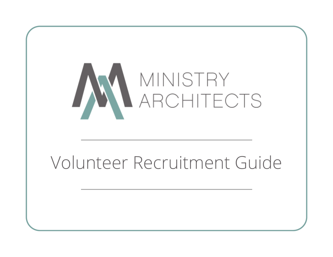

# Volunteer Recruitment Guide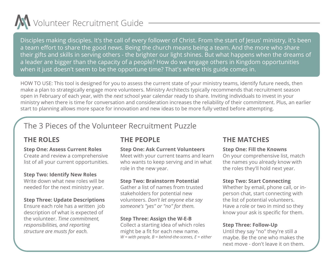

Disciples making disciples. It's the call of every follower of Christ. From the start of Jesus' ministry, it's been a team effort to share the good news. Being the church means being a team. And the more who share their gifts and skills in serving others - the brighter our light shines. But what happens when the dreams of a leader are bigger than the capacity of a people? How do we engage others in Kingdom opportunities when it just doesn't seem to be the opportune time? That's where this guide comes in.

HOW TO USE: This tool is designed for you to assess the current state of your ministry teams, identify future needs, then make a plan to strategically engage more volunteers. Ministry Architects typically recommends that recruitment season open in February of each year, with the *next* school year calendar ready to share. Inviting individuals to invest in your ministry when there is time for conversation and consideration increases the reliability of their commitment. Plus, an earlier start to planning allows more space for innovation and new ideas to be more fully vetted before attempting.

# The 3 Pieces of the Volunteer Recruitment Puzzle

#### **Step One: Assess Current Roles**

Create and review a comprehensive list of all your current opportunities.

#### **Step Two: Identify New Roles**

Write down what new roles will be needed for the next ministry year.

#### **Step Three: Update Descriptions**

Ensure each role has a written job description of what is expected of the volunteer. *Time commitment, responsibilities, and reporting structure are musts for each.*

# **THE PEOPLE**

### **Step One: Ask Current Volunteers**

Meet with your current teams and learn who wants to keep serving and in what role in the new year.

### **Step Two: Brainstorm Potential**

Gather a list of names from trusted stakeholders for potential new volunteers. *Don't let anyone else say someone's "yes" or "no" for them.*

#### **Step Three: Assign the W-E-B**

Collect a starting idea of which roles might be a fit for each new name. *W = with people, B = behind-the-scenes, E = either*

## **THE ROLES THE MATCHES**

#### **Step One: Fill the Knowns**

On your comprehensive list, match the names you already know with the roles they'll hold next year.

### **Step Two: Start Connecting**

Whether by email, phone call, or inperson chat, start connecting with the list of potential volunteers. Have a role or two in mind so they know your ask is specific for them.

#### **Step Three: Follow-Up**

Until they say "no" they're still a maybe. Be the one who makes the next move - don't leave it on them.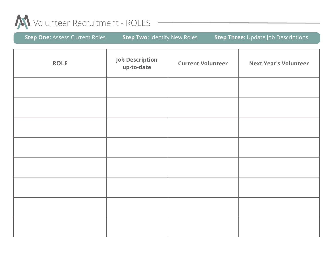

| <b>Step One:</b> Assess Current Roles | <b>Step Two: Identify New Roles</b> | Step Three: Update Job Descriptions |
|---------------------------------------|-------------------------------------|-------------------------------------|
|---------------------------------------|-------------------------------------|-------------------------------------|

| <b>ROLE</b> | <b>Job Description</b><br>up-to-date | <b>Current Volunteer</b> | <b>Next Year's Volunteer</b> |
|-------------|--------------------------------------|--------------------------|------------------------------|
|             |                                      |                          |                              |
|             |                                      |                          |                              |
|             |                                      |                          |                              |
|             |                                      |                          |                              |
|             |                                      |                          |                              |
|             |                                      |                          |                              |
|             |                                      |                          |                              |
|             |                                      |                          |                              |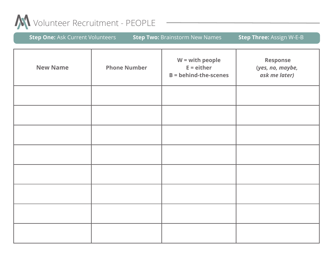

| <b>Step One: Ask Current Volunteers</b> |                     | <b>Step Two: Brainstorm New Names</b>                             | Step Three: Assign W-E-B                             |
|-----------------------------------------|---------------------|-------------------------------------------------------------------|------------------------------------------------------|
| <b>New Name</b>                         | <b>Phone Number</b> | $W = with people$<br>$E =$ either<br><b>B</b> = behind-the-scenes | <b>Response</b><br>(yes, no, maybe,<br>ask me later) |
|                                         |                     |                                                                   |                                                      |
|                                         |                     |                                                                   |                                                      |
|                                         |                     |                                                                   |                                                      |
|                                         |                     |                                                                   |                                                      |
|                                         |                     |                                                                   |                                                      |
|                                         |                     |                                                                   |                                                      |
|                                         |                     |                                                                   |                                                      |
|                                         |                     |                                                                   |                                                      |